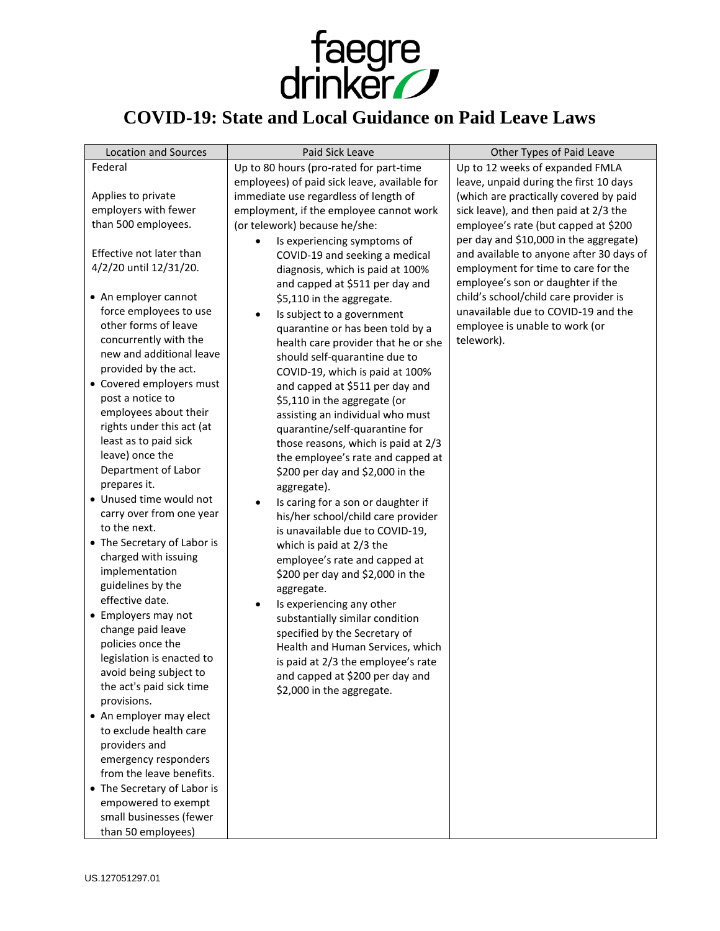

## **COVID-19: State and Local Guidance on Paid Leave Laws**

| <b>Location and Sources</b>                       | Paid Sick Leave                              | Other Types of Paid Leave                |
|---------------------------------------------------|----------------------------------------------|------------------------------------------|
| Federal                                           | Up to 80 hours (pro-rated for part-time      | Up to 12 weeks of expanded FMLA          |
|                                                   | employees) of paid sick leave, available for | leave, unpaid during the first 10 days   |
| Applies to private                                | immediate use regardless of length of        | (which are practically covered by paid   |
| employers with fewer                              | employment, if the employee cannot work      | sick leave), and then paid at 2/3 the    |
| than 500 employees.                               | (or telework) because he/she:                | employee's rate (but capped at \$200     |
|                                                   | Is experiencing symptoms of                  | per day and \$10,000 in the aggregate)   |
| Effective not later than                          | COVID-19 and seeking a medical               | and available to anyone after 30 days of |
| 4/2/20 until 12/31/20.                            | diagnosis, which is paid at 100%             | employment for time to care for the      |
|                                                   | and capped at \$511 per day and              | employee's son or daughter if the        |
| • An employer cannot                              | \$5,110 in the aggregate.                    | child's school/child care provider is    |
| force employees to use                            | Is subject to a government                   | unavailable due to COVID-19 and the      |
| other forms of leave                              | quarantine or has been told by a             | employee is unable to work (or           |
| concurrently with the                             | health care provider that he or she          | telework).                               |
| new and additional leave                          | should self-quarantine due to                |                                          |
| provided by the act.                              | COVID-19, which is paid at 100%              |                                          |
| • Covered employers must                          | and capped at \$511 per day and              |                                          |
| post a notice to                                  | \$5,110 in the aggregate (or                 |                                          |
| employees about their                             | assisting an individual who must             |                                          |
| rights under this act (at                         | quarantine/self-quarantine for               |                                          |
| least as to paid sick                             | those reasons, which is paid at 2/3          |                                          |
| leave) once the                                   | the employee's rate and capped at            |                                          |
| Department of Labor                               | \$200 per day and \$2,000 in the             |                                          |
| prepares it.                                      | aggregate).                                  |                                          |
| · Unused time would not                           | Is caring for a son or daughter if           |                                          |
| carry over from one year                          | his/her school/child care provider           |                                          |
| to the next.                                      | is unavailable due to COVID-19,              |                                          |
| • The Secretary of Labor is                       | which is paid at 2/3 the                     |                                          |
| charged with issuing                              | employee's rate and capped at                |                                          |
| implementation                                    | \$200 per day and \$2,000 in the             |                                          |
| guidelines by the                                 | aggregate.                                   |                                          |
| effective date.                                   | Is experiencing any other                    |                                          |
| • Employers may not                               | substantially similar condition              |                                          |
| change paid leave                                 | specified by the Secretary of                |                                          |
| policies once the                                 | Health and Human Services, which             |                                          |
| legislation is enacted to                         | is paid at 2/3 the employee's rate           |                                          |
| avoid being subject to                            | and capped at \$200 per day and              |                                          |
| the act's paid sick time<br>provisions.           | \$2,000 in the aggregate.                    |                                          |
|                                                   |                                              |                                          |
| • An employer may elect<br>to exclude health care |                                              |                                          |
| providers and                                     |                                              |                                          |
| emergency responders                              |                                              |                                          |
| from the leave benefits.                          |                                              |                                          |
| • The Secretary of Labor is                       |                                              |                                          |
| empowered to exempt                               |                                              |                                          |
| small businesses (fewer                           |                                              |                                          |
| than 50 employees)                                |                                              |                                          |
|                                                   |                                              |                                          |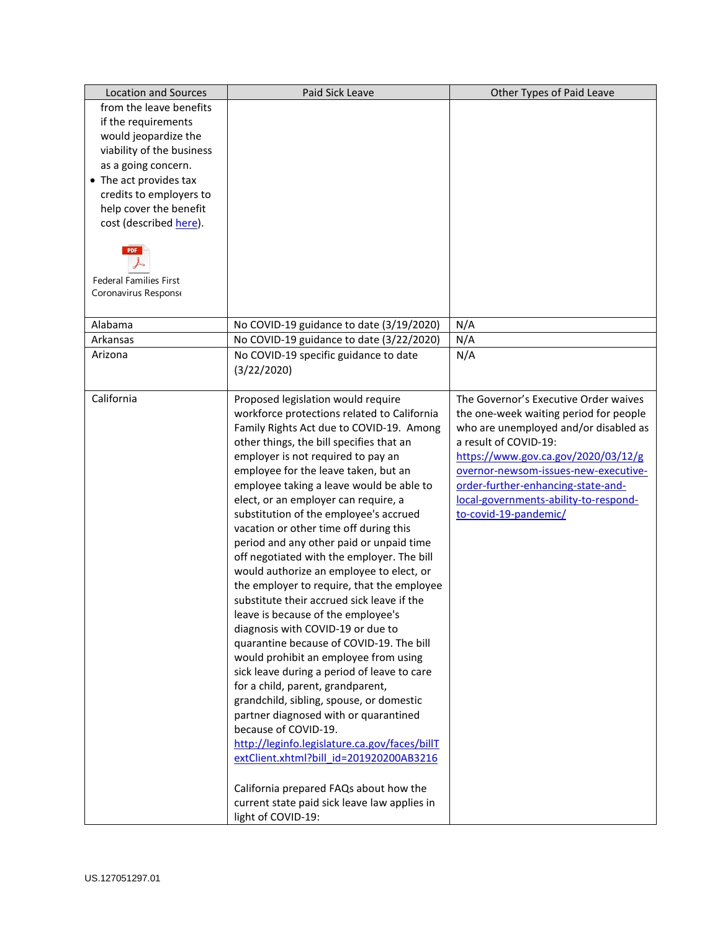| <b>Location and Sources</b>   | Paid Sick Leave                                      | Other Types of Paid Leave              |
|-------------------------------|------------------------------------------------------|----------------------------------------|
| from the leave benefits       |                                                      |                                        |
| if the requirements           |                                                      |                                        |
| would jeopardize the          |                                                      |                                        |
| viability of the business     |                                                      |                                        |
| as a going concern.           |                                                      |                                        |
| • The act provides tax        |                                                      |                                        |
| credits to employers to       |                                                      |                                        |
| help cover the benefit        |                                                      |                                        |
| cost (described here).        |                                                      |                                        |
|                               |                                                      |                                        |
| <b>Federal Families First</b> |                                                      |                                        |
| Coronavirus Respons           |                                                      |                                        |
|                               |                                                      |                                        |
| Alabama                       | No COVID-19 guidance to date (3/19/2020)             | N/A                                    |
| Arkansas                      | No COVID-19 guidance to date (3/22/2020)             | N/A                                    |
| Arizona                       | No COVID-19 specific guidance to date<br>(3/22/2020) | N/A                                    |
| California                    | Proposed legislation would require                   | The Governor's Executive Order waives  |
|                               | workforce protections related to California          | the one-week waiting period for people |
|                               | Family Rights Act due to COVID-19. Among             | who are unemployed and/or disabled as  |
|                               | other things, the bill specifies that an             | a result of COVID-19:                  |
|                               | employer is not required to pay an                   | https://www.gov.ca.gov/2020/03/12/g    |
|                               | employee for the leave taken, but an                 | overnor-newsom-issues-new-executive-   |
|                               | employee taking a leave would be able to             | order-further-enhancing-state-and-     |
|                               | elect, or an employer can require, a                 | local-governments-ability-to-respond-  |
|                               | substitution of the employee's accrued               | to-covid-19-pandemic/                  |
|                               | vacation or other time off during this               |                                        |
|                               | period and any other paid or unpaid time             |                                        |
|                               | off negotiated with the employer. The bill           |                                        |
|                               | would authorize an employee to elect, or             |                                        |
|                               | the employer to require, that the employee           |                                        |
|                               | substitute their accrued sick leave if the           |                                        |
|                               | leave is because of the employee's                   |                                        |
|                               | diagnosis with COVID-19 or due to                    |                                        |
|                               | quarantine because of COVID-19. The bill             |                                        |
|                               | would prohibit an employee from using                |                                        |
|                               | sick leave during a period of leave to care          |                                        |
|                               | for a child, parent, grandparent,                    |                                        |
|                               | grandchild, sibling, spouse, or domestic             |                                        |
|                               | partner diagnosed with or quarantined                |                                        |
|                               | because of COVID-19.                                 |                                        |
|                               | http://leginfo.legislature.ca.gov/faces/billT        |                                        |
|                               | extClient.xhtml?bill id=201920200AB3216              |                                        |
|                               | California prepared FAQs about how the               |                                        |
|                               | current state paid sick leave law applies in         |                                        |
|                               | light of COVID-19:                                   |                                        |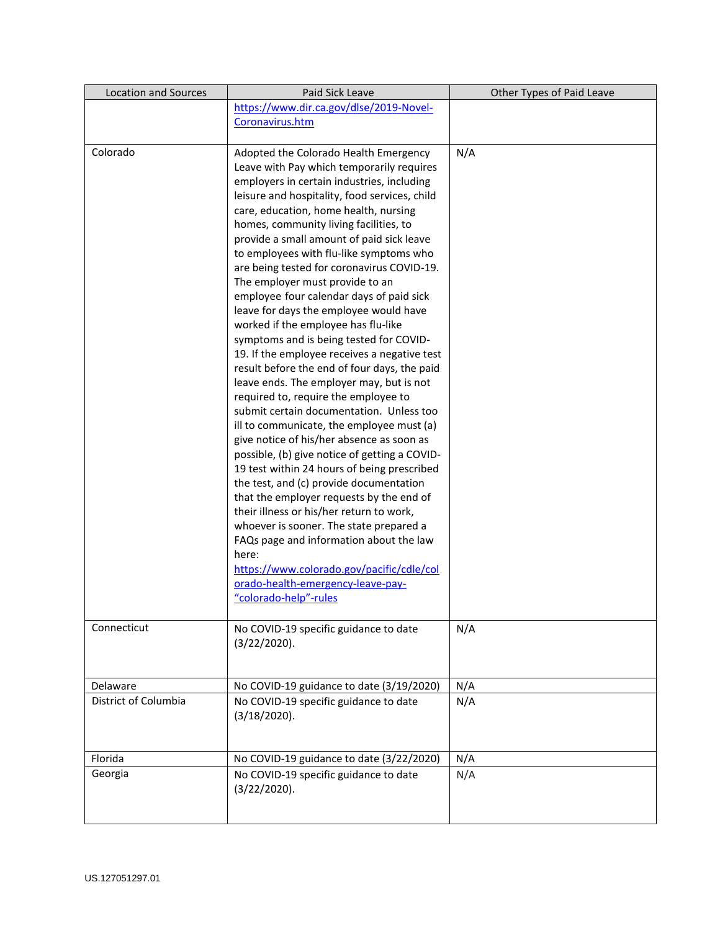| <b>Location and Sources</b> | Paid Sick Leave                                                                  | Other Types of Paid Leave |
|-----------------------------|----------------------------------------------------------------------------------|---------------------------|
|                             | https://www.dir.ca.gov/dlse/2019-Novel-                                          |                           |
|                             | Coronavirus.htm                                                                  |                           |
| Colorado                    | Adopted the Colorado Health Emergency                                            | N/A                       |
|                             | Leave with Pay which temporarily requires                                        |                           |
|                             | employers in certain industries, including                                       |                           |
|                             | leisure and hospitality, food services, child                                    |                           |
|                             | care, education, home health, nursing                                            |                           |
|                             | homes, community living facilities, to                                           |                           |
|                             | provide a small amount of paid sick leave                                        |                           |
|                             | to employees with flu-like symptoms who                                          |                           |
|                             | are being tested for coronavirus COVID-19.                                       |                           |
|                             | The employer must provide to an                                                  |                           |
|                             | employee four calendar days of paid sick                                         |                           |
|                             | leave for days the employee would have                                           |                           |
|                             | worked if the employee has flu-like                                              |                           |
|                             | symptoms and is being tested for COVID-                                          |                           |
|                             | 19. If the employee receives a negative test                                     |                           |
|                             | result before the end of four days, the paid                                     |                           |
|                             | leave ends. The employer may, but is not<br>required to, require the employee to |                           |
|                             | submit certain documentation. Unless too                                         |                           |
|                             | ill to communicate, the employee must (a)                                        |                           |
|                             | give notice of his/her absence as soon as                                        |                           |
|                             | possible, (b) give notice of getting a COVID-                                    |                           |
|                             | 19 test within 24 hours of being prescribed                                      |                           |
|                             | the test, and (c) provide documentation                                          |                           |
|                             | that the employer requests by the end of                                         |                           |
|                             | their illness or his/her return to work,                                         |                           |
|                             | whoever is sooner. The state prepared a                                          |                           |
|                             | FAQs page and information about the law                                          |                           |
|                             | here:                                                                            |                           |
|                             | https://www.colorado.gov/pacific/cdle/col                                        |                           |
|                             | orado-health-emergency-leave-pay-                                                |                           |
|                             | "colorado-help"-rules                                                            |                           |
| Connecticut                 | No COVID-19 specific guidance to date                                            | N/A                       |
|                             | (3/22/2020).                                                                     |                           |
|                             |                                                                                  |                           |
|                             |                                                                                  |                           |
| Delaware                    | No COVID-19 guidance to date (3/19/2020)                                         | N/A                       |
| District of Columbia        | No COVID-19 specific guidance to date                                            | N/A                       |
|                             | (3/18/2020).                                                                     |                           |
|                             |                                                                                  |                           |
| Florida                     | No COVID-19 guidance to date (3/22/2020)                                         | N/A                       |
| Georgia                     | No COVID-19 specific guidance to date                                            | N/A                       |
|                             | (3/22/2020).                                                                     |                           |
|                             |                                                                                  |                           |
|                             |                                                                                  |                           |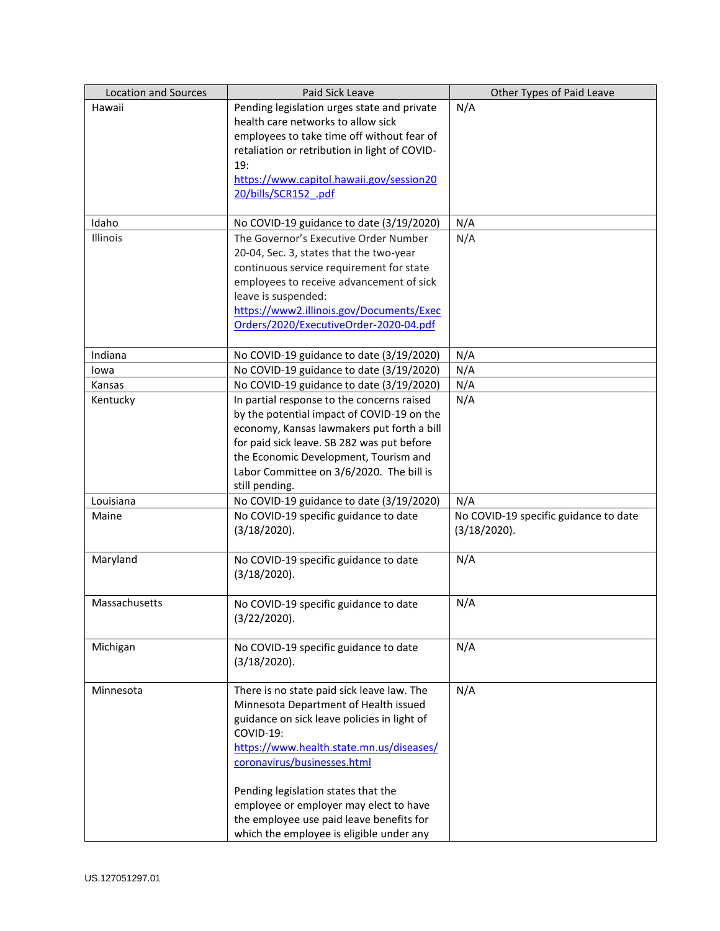| <b>Location and Sources</b> | Paid Sick Leave                               | Other Types of Paid Leave             |
|-----------------------------|-----------------------------------------------|---------------------------------------|
| Hawaii                      | Pending legislation urges state and private   | N/A                                   |
|                             | health care networks to allow sick            |                                       |
|                             | employees to take time off without fear of    |                                       |
|                             | retaliation or retribution in light of COVID- |                                       |
|                             | 19:                                           |                                       |
|                             | https://www.capitol.hawaii.gov/session20      |                                       |
|                             | 20/bills/SCR152 .pdf                          |                                       |
|                             |                                               |                                       |
| Idaho                       | No COVID-19 guidance to date (3/19/2020)      | N/A                                   |
| Illinois                    | The Governor's Executive Order Number         | N/A                                   |
|                             | 20-04, Sec. 3, states that the two-year       |                                       |
|                             | continuous service requirement for state      |                                       |
|                             | employees to receive advancement of sick      |                                       |
|                             | leave is suspended:                           |                                       |
|                             | https://www2.illinois.gov/Documents/Exec      |                                       |
|                             | Orders/2020/ExecutiveOrder-2020-04.pdf        |                                       |
|                             |                                               |                                       |
| Indiana                     | No COVID-19 guidance to date (3/19/2020)      | N/A                                   |
| lowa                        | No COVID-19 guidance to date (3/19/2020)      | N/A                                   |
| Kansas                      | No COVID-19 guidance to date (3/19/2020)      | N/A                                   |
| Kentucky                    | In partial response to the concerns raised    | N/A                                   |
|                             | by the potential impact of COVID-19 on the    |                                       |
|                             | economy, Kansas lawmakers put forth a bill    |                                       |
|                             | for paid sick leave. SB 282 was put before    |                                       |
|                             | the Economic Development, Tourism and         |                                       |
|                             | Labor Committee on 3/6/2020. The bill is      |                                       |
|                             | still pending.                                |                                       |
| Louisiana                   | No COVID-19 guidance to date (3/19/2020)      | N/A                                   |
| Maine                       | No COVID-19 specific guidance to date         | No COVID-19 specific guidance to date |
|                             | (3/18/2020).                                  | (3/18/2020).                          |
|                             |                                               |                                       |
| Maryland                    | No COVID-19 specific guidance to date         | N/A                                   |
|                             | (3/18/2020).                                  |                                       |
|                             |                                               |                                       |
| Massachusetts               | No COVID-19 specific guidance to date         | N/A                                   |
|                             | (3/22/2020).                                  |                                       |
|                             |                                               |                                       |
| Michigan                    | No COVID-19 specific guidance to date         | N/A                                   |
|                             | (3/18/2020).                                  |                                       |
|                             |                                               |                                       |
| Minnesota                   | There is no state paid sick leave law. The    | N/A                                   |
|                             | Minnesota Department of Health issued         |                                       |
|                             | guidance on sick leave policies in light of   |                                       |
|                             | COVID-19:                                     |                                       |
|                             | https://www.health.state.mn.us/diseases/      |                                       |
|                             | coronavirus/businesses.html                   |                                       |
|                             | Pending legislation states that the           |                                       |
|                             | employee or employer may elect to have        |                                       |
|                             | the employee use paid leave benefits for      |                                       |
|                             | which the employee is eligible under any      |                                       |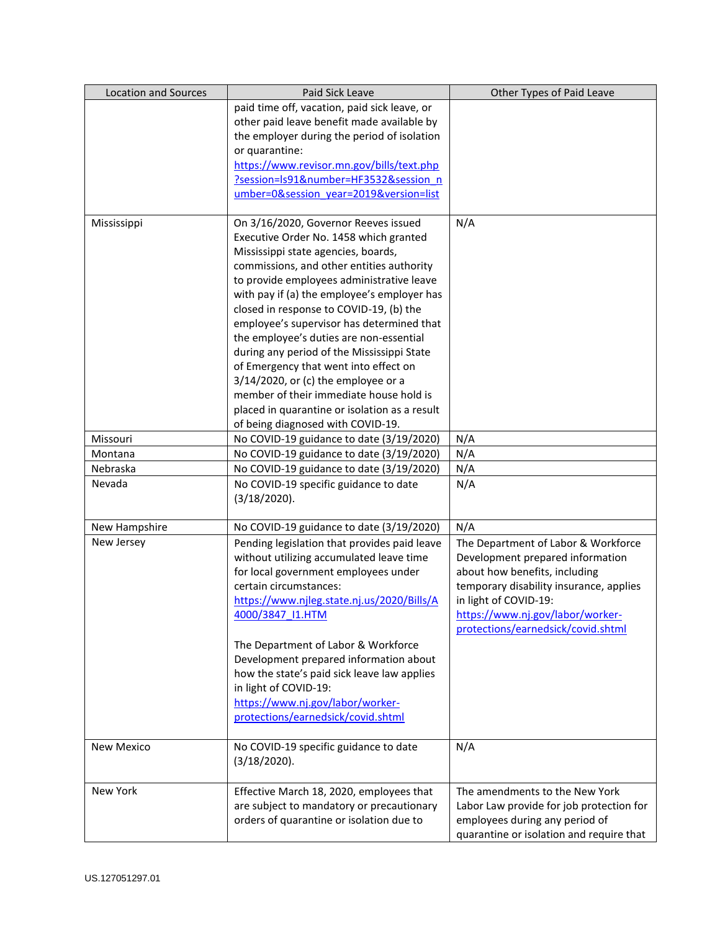| <b>Location and Sources</b> | Paid Sick Leave                               | Other Types of Paid Leave                |
|-----------------------------|-----------------------------------------------|------------------------------------------|
|                             | paid time off, vacation, paid sick leave, or  |                                          |
|                             | other paid leave benefit made available by    |                                          |
|                             | the employer during the period of isolation   |                                          |
|                             | or quarantine:                                |                                          |
|                             | https://www.revisor.mn.gov/bills/text.php     |                                          |
|                             | ?session=Is91&number=HF3532&session n         |                                          |
|                             | umber=0&session year=2019&version=list        |                                          |
| Mississippi                 | On 3/16/2020, Governor Reeves issued          | N/A                                      |
|                             | Executive Order No. 1458 which granted        |                                          |
|                             | Mississippi state agencies, boards,           |                                          |
|                             | commissions, and other entities authority     |                                          |
|                             | to provide employees administrative leave     |                                          |
|                             | with pay if (a) the employee's employer has   |                                          |
|                             | closed in response to COVID-19, (b) the       |                                          |
|                             | employee's supervisor has determined that     |                                          |
|                             | the employee's duties are non-essential       |                                          |
|                             | during any period of the Mississippi State    |                                          |
|                             | of Emergency that went into effect on         |                                          |
|                             | $3/14/2020$ , or (c) the employee or a        |                                          |
|                             | member of their immediate house hold is       |                                          |
|                             | placed in quarantine or isolation as a result |                                          |
|                             | of being diagnosed with COVID-19.             |                                          |
| Missouri                    | No COVID-19 guidance to date (3/19/2020)      | N/A                                      |
| Montana                     | No COVID-19 guidance to date (3/19/2020)      | N/A                                      |
| Nebraska                    | No COVID-19 guidance to date (3/19/2020)      | N/A                                      |
| Nevada                      | No COVID-19 specific guidance to date         | N/A                                      |
|                             | (3/18/2020).                                  |                                          |
|                             |                                               |                                          |
| New Hampshire               | No COVID-19 guidance to date (3/19/2020)      | N/A                                      |
| New Jersey                  | Pending legislation that provides paid leave  | The Department of Labor & Workforce      |
|                             | without utilizing accumulated leave time      | Development prepared information         |
|                             | for local government employees under          | about how benefits, including            |
|                             | certain circumstances:                        | temporary disability insurance, applies  |
|                             | https://www.njleg.state.nj.us/2020/Bills/A    | in light of COVID-19:                    |
|                             | 4000/3847 I1.HTM                              | https://www.nj.gov/labor/worker-         |
|                             |                                               | protections/earnedsick/covid.shtml       |
|                             | The Department of Labor & Workforce           |                                          |
|                             | Development prepared information about        |                                          |
|                             | how the state's paid sick leave law applies   |                                          |
|                             | in light of COVID-19:                         |                                          |
|                             | https://www.nj.gov/labor/worker-              |                                          |
|                             | protections/earnedsick/covid.shtml            |                                          |
|                             |                                               |                                          |
| <b>New Mexico</b>           | No COVID-19 specific guidance to date         | N/A                                      |
|                             | (3/18/2020).                                  |                                          |
|                             |                                               |                                          |
| New York                    | Effective March 18, 2020, employees that      | The amendments to the New York           |
|                             | are subject to mandatory or precautionary     | Labor Law provide for job protection for |
|                             | orders of quarantine or isolation due to      | employees during any period of           |
|                             |                                               | quarantine or isolation and require that |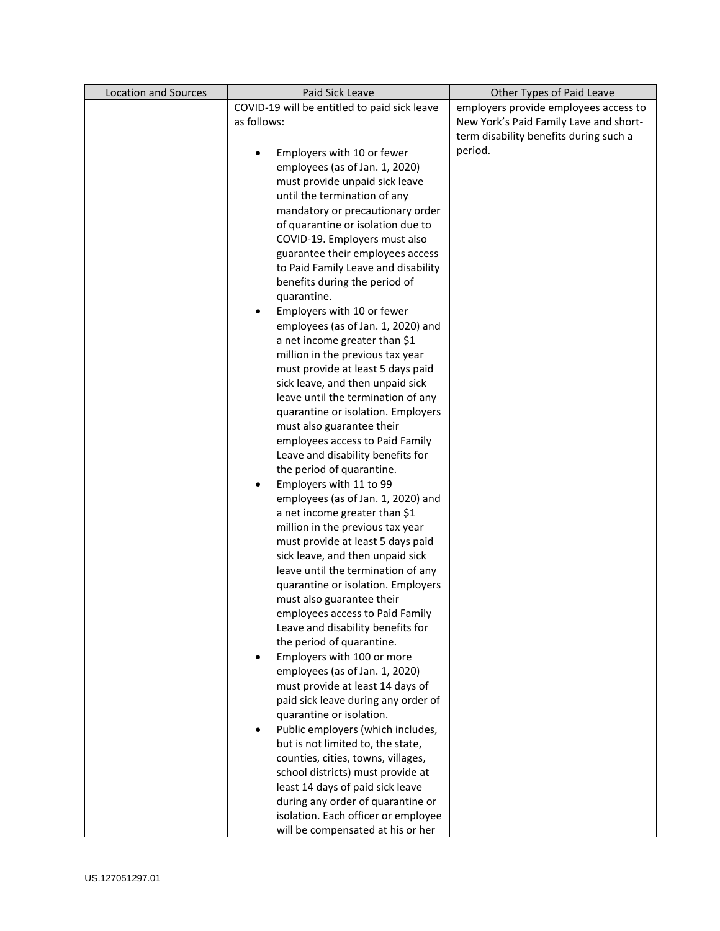| <b>Location and Sources</b> | Paid Sick Leave                                                    | Other Types of Paid Leave              |
|-----------------------------|--------------------------------------------------------------------|----------------------------------------|
|                             | COVID-19 will be entitled to paid sick leave                       | employers provide employees access to  |
|                             | as follows:                                                        | New York's Paid Family Lave and short- |
|                             |                                                                    | term disability benefits during such a |
|                             | Employers with 10 or fewer                                         | period.                                |
|                             | employees (as of Jan. 1, 2020)                                     |                                        |
|                             | must provide unpaid sick leave                                     |                                        |
|                             | until the termination of any                                       |                                        |
|                             | mandatory or precautionary order                                   |                                        |
|                             | of quarantine or isolation due to                                  |                                        |
|                             | COVID-19. Employers must also                                      |                                        |
|                             | guarantee their employees access                                   |                                        |
|                             | to Paid Family Leave and disability                                |                                        |
|                             | benefits during the period of                                      |                                        |
|                             | quarantine.                                                        |                                        |
|                             | Employers with 10 or fewer                                         |                                        |
|                             | employees (as of Jan. 1, 2020) and                                 |                                        |
|                             | a net income greater than \$1                                      |                                        |
|                             | million in the previous tax year                                   |                                        |
|                             | must provide at least 5 days paid                                  |                                        |
|                             | sick leave, and then unpaid sick                                   |                                        |
|                             | leave until the termination of any                                 |                                        |
|                             | quarantine or isolation. Employers                                 |                                        |
|                             | must also guarantee their                                          |                                        |
|                             | employees access to Paid Family                                    |                                        |
|                             | Leave and disability benefits for                                  |                                        |
|                             | the period of quarantine.                                          |                                        |
|                             | Employers with 11 to 99<br>$\bullet$                               |                                        |
|                             | employees (as of Jan. 1, 2020) and                                 |                                        |
|                             | a net income greater than \$1                                      |                                        |
|                             | million in the previous tax year                                   |                                        |
|                             | must provide at least 5 days paid                                  |                                        |
|                             | sick leave, and then unpaid sick                                   |                                        |
|                             | leave until the termination of any                                 |                                        |
|                             | quarantine or isolation. Employers                                 |                                        |
|                             | must also guarantee their                                          |                                        |
|                             | employees access to Paid Family                                    |                                        |
|                             | Leave and disability benefits for                                  |                                        |
|                             | the period of quarantine.                                          |                                        |
|                             | Employers with 100 or more                                         |                                        |
|                             | employees (as of Jan. 1, 2020)<br>must provide at least 14 days of |                                        |
|                             | paid sick leave during any order of                                |                                        |
|                             | quarantine or isolation.                                           |                                        |
|                             | Public employers (which includes,                                  |                                        |
|                             | but is not limited to, the state,                                  |                                        |
|                             | counties, cities, towns, villages,                                 |                                        |
|                             | school districts) must provide at                                  |                                        |
|                             | least 14 days of paid sick leave                                   |                                        |
|                             | during any order of quarantine or                                  |                                        |
|                             | isolation. Each officer or employee                                |                                        |
|                             | will be compensated at his or her                                  |                                        |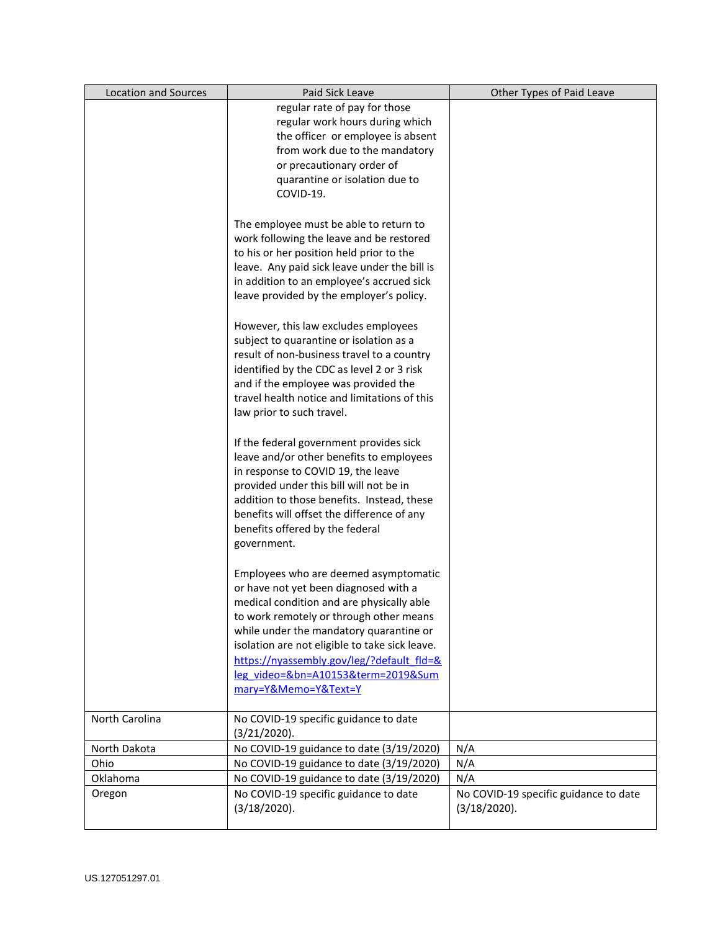| <b>Location and Sources</b> | Paid Sick Leave                                | Other Types of Paid Leave             |
|-----------------------------|------------------------------------------------|---------------------------------------|
|                             | regular rate of pay for those                  |                                       |
|                             | regular work hours during which                |                                       |
|                             | the officer or employee is absent              |                                       |
|                             | from work due to the mandatory                 |                                       |
|                             | or precautionary order of                      |                                       |
|                             | quarantine or isolation due to                 |                                       |
|                             | COVID-19.                                      |                                       |
|                             |                                                |                                       |
|                             | The employee must be able to return to         |                                       |
|                             | work following the leave and be restored       |                                       |
|                             | to his or her position held prior to the       |                                       |
|                             | leave. Any paid sick leave under the bill is   |                                       |
|                             | in addition to an employee's accrued sick      |                                       |
|                             | leave provided by the employer's policy.       |                                       |
|                             |                                                |                                       |
|                             | However, this law excludes employees           |                                       |
|                             | subject to quarantine or isolation as a        |                                       |
|                             | result of non-business travel to a country     |                                       |
|                             | identified by the CDC as level 2 or 3 risk     |                                       |
|                             | and if the employee was provided the           |                                       |
|                             | travel health notice and limitations of this   |                                       |
|                             | law prior to such travel.                      |                                       |
|                             |                                                |                                       |
|                             | If the federal government provides sick        |                                       |
|                             | leave and/or other benefits to employees       |                                       |
|                             | in response to COVID 19, the leave             |                                       |
|                             | provided under this bill will not be in        |                                       |
|                             | addition to those benefits. Instead, these     |                                       |
|                             | benefits will offset the difference of any     |                                       |
|                             | benefits offered by the federal                |                                       |
|                             | government.                                    |                                       |
|                             |                                                |                                       |
|                             | Employees who are deemed asymptomatic          |                                       |
|                             | or have not yet been diagnosed with a          |                                       |
|                             | medical condition and are physically able      |                                       |
|                             | to work remotely or through other means        |                                       |
|                             | while under the mandatory quarantine or        |                                       |
|                             | isolation are not eligible to take sick leave. |                                       |
|                             | https://nyassembly.gov/leg/?default fld=&      |                                       |
|                             | leg video=&bn=A10153&term=2019∑                |                                       |
|                             |                                                |                                       |
|                             | mary=Y&Memo=Y&Text=Y                           |                                       |
| North Carolina              | No COVID-19 specific guidance to date          |                                       |
|                             | (3/21/2020).                                   |                                       |
| North Dakota                | No COVID-19 guidance to date (3/19/2020)       | N/A                                   |
| Ohio                        | No COVID-19 guidance to date (3/19/2020)       | N/A                                   |
| Oklahoma                    | No COVID-19 guidance to date (3/19/2020)       | N/A                                   |
| Oregon                      | No COVID-19 specific guidance to date          | No COVID-19 specific guidance to date |
|                             | (3/18/2020).                                   | (3/18/2020).                          |
|                             |                                                |                                       |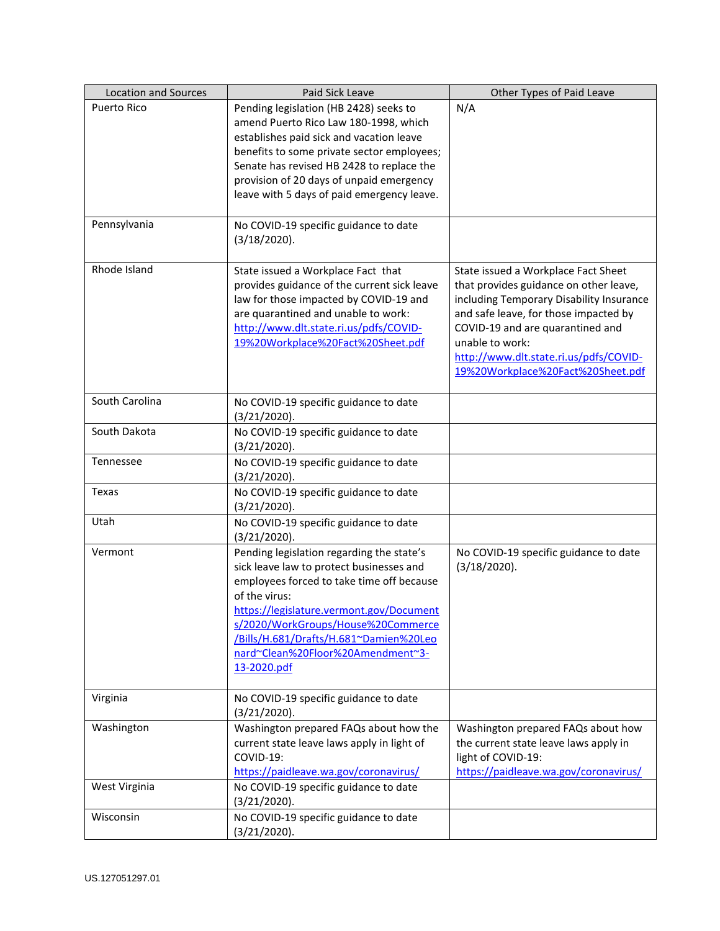| <b>Location and Sources</b> | Paid Sick Leave                                                                                                                                                                                                                                                                                                                     | Other Types of Paid Leave                                                                                                                                                                                                                                                                                |
|-----------------------------|-------------------------------------------------------------------------------------------------------------------------------------------------------------------------------------------------------------------------------------------------------------------------------------------------------------------------------------|----------------------------------------------------------------------------------------------------------------------------------------------------------------------------------------------------------------------------------------------------------------------------------------------------------|
| <b>Puerto Rico</b>          | Pending legislation (HB 2428) seeks to<br>amend Puerto Rico Law 180-1998, which<br>establishes paid sick and vacation leave<br>benefits to some private sector employees;<br>Senate has revised HB 2428 to replace the<br>provision of 20 days of unpaid emergency<br>leave with 5 days of paid emergency leave.                    | N/A                                                                                                                                                                                                                                                                                                      |
| Pennsylvania                | No COVID-19 specific guidance to date<br>(3/18/2020).                                                                                                                                                                                                                                                                               |                                                                                                                                                                                                                                                                                                          |
| Rhode Island                | State issued a Workplace Fact that<br>provides guidance of the current sick leave<br>law for those impacted by COVID-19 and<br>are quarantined and unable to work:<br>http://www.dlt.state.ri.us/pdfs/COVID-<br>19%20Workplace%20Fact%20Sheet.pdf                                                                                   | State issued a Workplace Fact Sheet<br>that provides guidance on other leave,<br>including Temporary Disability Insurance<br>and safe leave, for those impacted by<br>COVID-19 and are quarantined and<br>unable to work:<br>http://www.dlt.state.ri.us/pdfs/COVID-<br>19%20Workplace%20Fact%20Sheet.pdf |
| South Carolina              | No COVID-19 specific guidance to date<br>(3/21/2020).                                                                                                                                                                                                                                                                               |                                                                                                                                                                                                                                                                                                          |
| South Dakota                | No COVID-19 specific guidance to date<br>(3/21/2020).                                                                                                                                                                                                                                                                               |                                                                                                                                                                                                                                                                                                          |
| Tennessee                   | No COVID-19 specific guidance to date<br>(3/21/2020).                                                                                                                                                                                                                                                                               |                                                                                                                                                                                                                                                                                                          |
| Texas                       | No COVID-19 specific guidance to date<br>(3/21/2020).                                                                                                                                                                                                                                                                               |                                                                                                                                                                                                                                                                                                          |
| Utah                        | No COVID-19 specific guidance to date<br>$(3/21/2020)$ .                                                                                                                                                                                                                                                                            |                                                                                                                                                                                                                                                                                                          |
| Vermont                     | Pending legislation regarding the state's<br>sick leave law to protect businesses and<br>employees forced to take time off because<br>of the virus:<br>https://legislature.vermont.gov/Document<br>s/2020/WorkGroups/House%20Commerce<br>/Bills/H.681/Drafts/H.681~Damien%20Leo<br>nard~Clean%20Floor%20Amendment~3-<br>13-2020.pdf | No COVID-19 specific guidance to date<br>(3/18/2020).                                                                                                                                                                                                                                                    |
| Virginia                    | No COVID-19 specific guidance to date<br>(3/21/2020).                                                                                                                                                                                                                                                                               |                                                                                                                                                                                                                                                                                                          |
| Washington                  | Washington prepared FAQs about how the<br>current state leave laws apply in light of<br>COVID-19:<br>https://paidleave.wa.gov/coronavirus/                                                                                                                                                                                          | Washington prepared FAQs about how<br>the current state leave laws apply in<br>light of COVID-19:<br>https://paidleave.wa.gov/coronavirus/                                                                                                                                                               |
| West Virginia               | No COVID-19 specific guidance to date<br>(3/21/2020).                                                                                                                                                                                                                                                                               |                                                                                                                                                                                                                                                                                                          |
| Wisconsin                   | No COVID-19 specific guidance to date<br>(3/21/2020).                                                                                                                                                                                                                                                                               |                                                                                                                                                                                                                                                                                                          |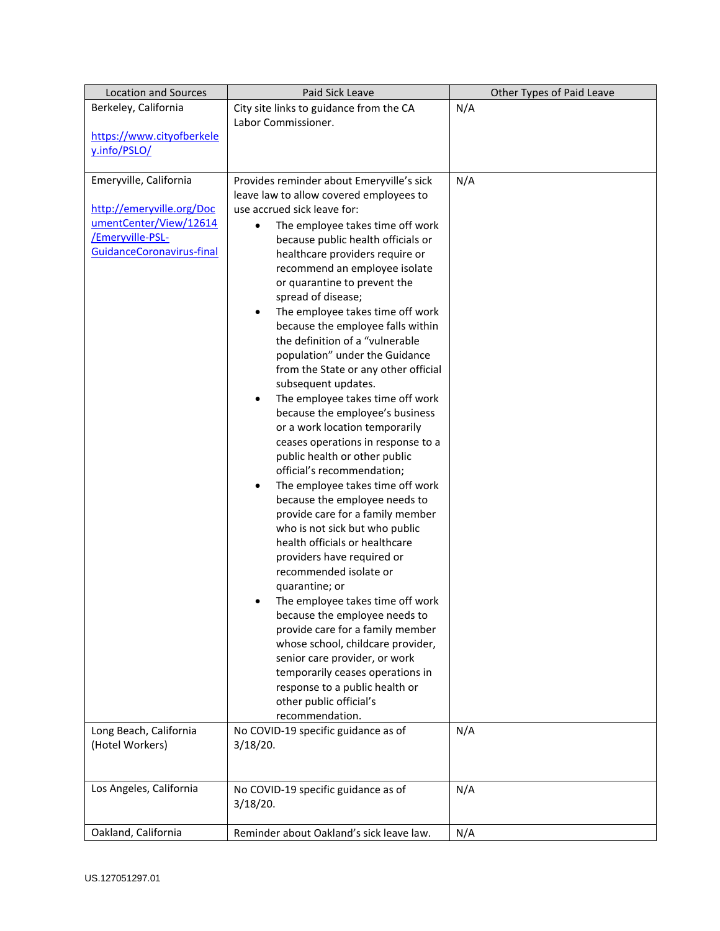| <b>Location and Sources</b> | Paid Sick Leave                                                      | Other Types of Paid Leave |
|-----------------------------|----------------------------------------------------------------------|---------------------------|
| Berkeley, California        | City site links to guidance from the CA                              | N/A                       |
|                             | Labor Commissioner.                                                  |                           |
| https://www.cityofberkele   |                                                                      |                           |
| y.info/PSLO/                |                                                                      |                           |
|                             |                                                                      |                           |
| Emeryville, California      | Provides reminder about Emeryville's sick                            | N/A                       |
|                             | leave law to allow covered employees to                              |                           |
| http://emeryville.org/Doc   | use accrued sick leave for:                                          |                           |
| umentCenter/View/12614      | The employee takes time off work<br>$\bullet$                        |                           |
| Emeryville-PSL-             | because public health officials or                                   |                           |
| GuidanceCoronavirus-final   | healthcare providers require or                                      |                           |
|                             | recommend an employee isolate                                        |                           |
|                             | or quarantine to prevent the                                         |                           |
|                             | spread of disease;                                                   |                           |
|                             | The employee takes time off work<br>٠                                |                           |
|                             | because the employee falls within<br>the definition of a "vulnerable |                           |
|                             | population" under the Guidance                                       |                           |
|                             | from the State or any other official                                 |                           |
|                             | subsequent updates.                                                  |                           |
|                             | The employee takes time off work<br>$\bullet$                        |                           |
|                             | because the employee's business                                      |                           |
|                             | or a work location temporarily                                       |                           |
|                             | ceases operations in response to a                                   |                           |
|                             | public health or other public                                        |                           |
|                             | official's recommendation;                                           |                           |
|                             | The employee takes time off work<br>٠                                |                           |
|                             | because the employee needs to                                        |                           |
|                             | provide care for a family member                                     |                           |
|                             | who is not sick but who public                                       |                           |
|                             | health officials or healthcare                                       |                           |
|                             | providers have required or                                           |                           |
|                             | recommended isolate or                                               |                           |
|                             | quarantine; or                                                       |                           |
|                             | The employee takes time off work                                     |                           |
|                             | because the employee needs to                                        |                           |
|                             | provide care for a family member                                     |                           |
|                             | whose school, childcare provider,<br>senior care provider, or work   |                           |
|                             | temporarily ceases operations in                                     |                           |
|                             | response to a public health or                                       |                           |
|                             | other public official's                                              |                           |
|                             | recommendation.                                                      |                           |
| Long Beach, California      | No COVID-19 specific guidance as of                                  | N/A                       |
| (Hotel Workers)             | 3/18/20.                                                             |                           |
|                             |                                                                      |                           |
|                             |                                                                      |                           |
| Los Angeles, California     | No COVID-19 specific guidance as of                                  | N/A                       |
|                             | 3/18/20.                                                             |                           |
|                             |                                                                      |                           |
| Oakland, California         | Reminder about Oakland's sick leave law.                             | N/A                       |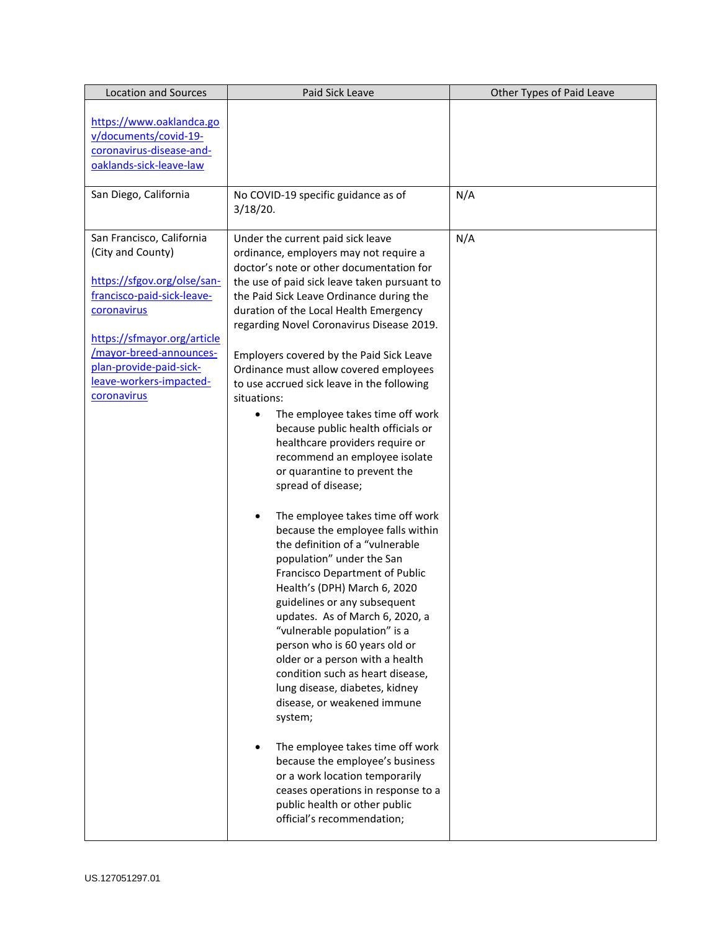| https://www.oaklandca.go<br>v/documents/covid-19-<br>coronavirus-disease-and-<br>oaklands-sick-leave-law<br>San Diego, California<br>No COVID-19 specific guidance as of<br>N/A<br>3/18/20.<br>San Francisco, California<br>N/A<br>Under the current paid sick leave<br>(City and County)<br>ordinance, employers may not require a<br>doctor's note or other documentation for<br>https://sfgov.org/olse/san-<br>the use of paid sick leave taken pursuant to<br>francisco-paid-sick-leave-<br>the Paid Sick Leave Ordinance during the<br>coronavirus<br>duration of the Local Health Emergency<br>regarding Novel Coronavirus Disease 2019.<br>https://sfmayor.org/article<br>/mayor-breed-announces-<br>Employers covered by the Paid Sick Leave<br>plan-provide-paid-sick-<br>Ordinance must allow covered employees<br>leave-workers-impacted-<br>to use accrued sick leave in the following<br>coronavirus<br>situations:<br>The employee takes time off work<br>$\bullet$<br>because public health officials or<br>healthcare providers require or<br>recommend an employee isolate<br>or quarantine to prevent the<br>spread of disease;<br>The employee takes time off work<br>because the employee falls within<br>the definition of a "vulnerable<br>population" under the San<br>Francisco Department of Public<br>Health's (DPH) March 6, 2020<br>guidelines or any subsequent<br>updates. As of March 6, 2020, a<br>"vulnerable population" is a<br>person who is 60 years old or<br>older or a person with a health<br>condition such as heart disease,<br>lung disease, diabetes, kidney<br>disease, or weakened immune<br>system;<br>The employee takes time off work<br>because the employee's business<br>or a work location temporarily<br>ceases operations in response to a | <b>Location and Sources</b> | Paid Sick Leave               | Other Types of Paid Leave |
|----------------------------------------------------------------------------------------------------------------------------------------------------------------------------------------------------------------------------------------------------------------------------------------------------------------------------------------------------------------------------------------------------------------------------------------------------------------------------------------------------------------------------------------------------------------------------------------------------------------------------------------------------------------------------------------------------------------------------------------------------------------------------------------------------------------------------------------------------------------------------------------------------------------------------------------------------------------------------------------------------------------------------------------------------------------------------------------------------------------------------------------------------------------------------------------------------------------------------------------------------------------------------------------------------------------------------------------------------------------------------------------------------------------------------------------------------------------------------------------------------------------------------------------------------------------------------------------------------------------------------------------------------------------------------------------------------------------------------------------------------------------------------------------------------|-----------------------------|-------------------------------|---------------------------|
|                                                                                                                                                                                                                                                                                                                                                                                                                                                                                                                                                                                                                                                                                                                                                                                                                                                                                                                                                                                                                                                                                                                                                                                                                                                                                                                                                                                                                                                                                                                                                                                                                                                                                                                                                                                                    |                             |                               |                           |
|                                                                                                                                                                                                                                                                                                                                                                                                                                                                                                                                                                                                                                                                                                                                                                                                                                                                                                                                                                                                                                                                                                                                                                                                                                                                                                                                                                                                                                                                                                                                                                                                                                                                                                                                                                                                    |                             |                               |                           |
| official's recommendation;                                                                                                                                                                                                                                                                                                                                                                                                                                                                                                                                                                                                                                                                                                                                                                                                                                                                                                                                                                                                                                                                                                                                                                                                                                                                                                                                                                                                                                                                                                                                                                                                                                                                                                                                                                         |                             | public health or other public |                           |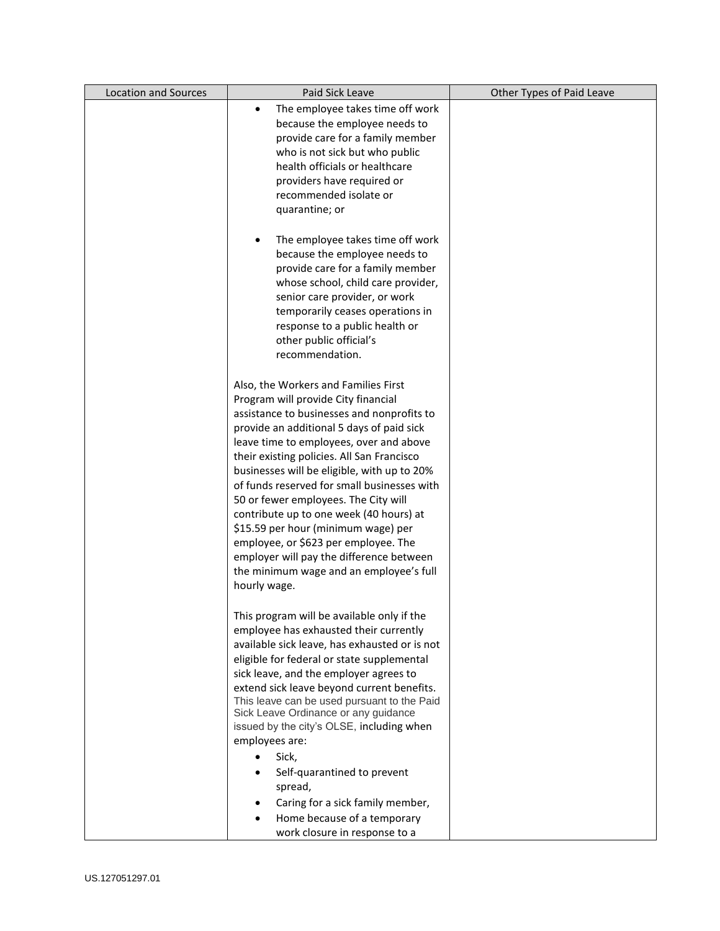| <b>Location and Sources</b> | Paid Sick Leave                                                                     | Other Types of Paid Leave |
|-----------------------------|-------------------------------------------------------------------------------------|---------------------------|
|                             | The employee takes time off work<br>$\bullet$                                       |                           |
|                             | because the employee needs to                                                       |                           |
|                             | provide care for a family member                                                    |                           |
|                             | who is not sick but who public                                                      |                           |
|                             | health officials or healthcare                                                      |                           |
|                             | providers have required or                                                          |                           |
|                             | recommended isolate or                                                              |                           |
|                             | quarantine; or                                                                      |                           |
|                             |                                                                                     |                           |
|                             | The employee takes time off work<br>٠                                               |                           |
|                             | because the employee needs to                                                       |                           |
|                             | provide care for a family member                                                    |                           |
|                             | whose school, child care provider,                                                  |                           |
|                             | senior care provider, or work                                                       |                           |
|                             | temporarily ceases operations in                                                    |                           |
|                             | response to a public health or                                                      |                           |
|                             | other public official's                                                             |                           |
|                             | recommendation.                                                                     |                           |
|                             |                                                                                     |                           |
|                             | Also, the Workers and Families First                                                |                           |
|                             | Program will provide City financial                                                 |                           |
|                             | assistance to businesses and nonprofits to                                          |                           |
|                             | provide an additional 5 days of paid sick                                           |                           |
|                             | leave time to employees, over and above                                             |                           |
|                             | their existing policies. All San Francisco                                          |                           |
|                             | businesses will be eligible, with up to 20%                                         |                           |
|                             | of funds reserved for small businesses with                                         |                           |
|                             | 50 or fewer employees. The City will                                                |                           |
|                             | contribute up to one week (40 hours) at                                             |                           |
|                             | \$15.59 per hour (minimum wage) per                                                 |                           |
|                             | employee, or \$623 per employee. The                                                |                           |
|                             | employer will pay the difference between                                            |                           |
|                             | the minimum wage and an employee's full                                             |                           |
|                             | hourly wage.                                                                        |                           |
|                             |                                                                                     |                           |
|                             | This program will be available only if the                                          |                           |
|                             | employee has exhausted their currently                                              |                           |
|                             | available sick leave, has exhausted or is not                                       |                           |
|                             | eligible for federal or state supplemental                                          |                           |
|                             | sick leave, and the employer agrees to                                              |                           |
|                             | extend sick leave beyond current benefits.                                          |                           |
|                             | This leave can be used pursuant to the Paid<br>Sick Leave Ordinance or any guidance |                           |
|                             | issued by the city's OLSE, including when                                           |                           |
|                             | employees are:                                                                      |                           |
|                             | Sick,                                                                               |                           |
|                             |                                                                                     |                           |
|                             | Self-quarantined to prevent                                                         |                           |
|                             | spread,                                                                             |                           |
|                             | Caring for a sick family member,                                                    |                           |
|                             | Home because of a temporary                                                         |                           |
|                             | work closure in response to a                                                       |                           |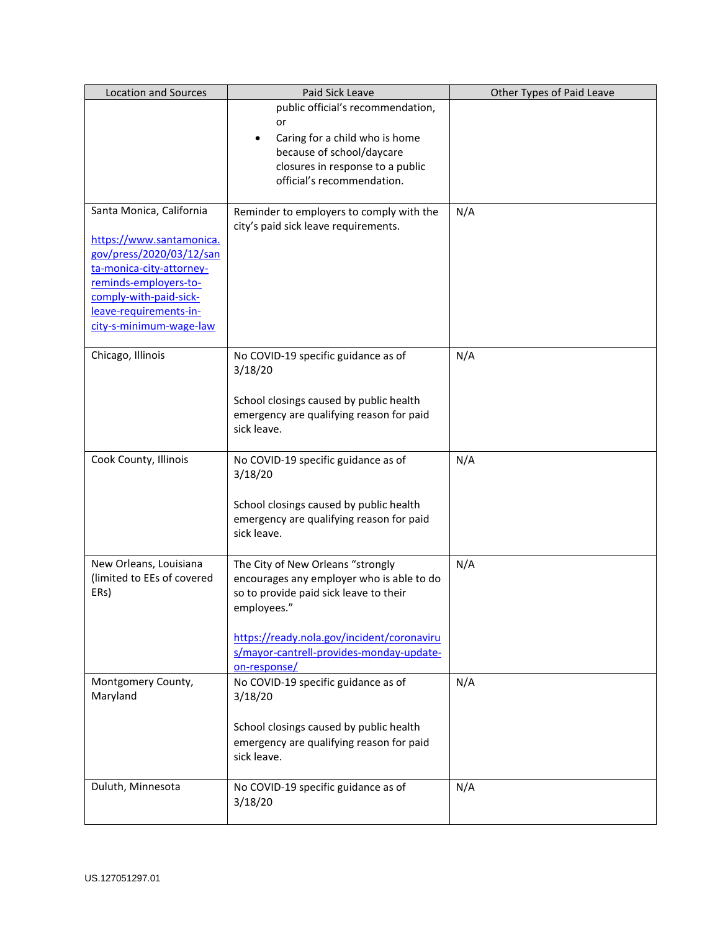| <b>Location and Sources</b> | Paid Sick Leave                                         | Other Types of Paid Leave |
|-----------------------------|---------------------------------------------------------|---------------------------|
|                             | public official's recommendation,                       |                           |
|                             | or                                                      |                           |
|                             | Caring for a child who is home                          |                           |
|                             | because of school/daycare                               |                           |
|                             | closures in response to a public                        |                           |
|                             | official's recommendation.                              |                           |
|                             |                                                         |                           |
| Santa Monica, California    | Reminder to employers to comply with the                | N/A                       |
| https://www.santamonica.    | city's paid sick leave requirements.                    |                           |
| gov/press/2020/03/12/san    |                                                         |                           |
| ta-monica-city-attorney-    |                                                         |                           |
| reminds-employers-to-       |                                                         |                           |
| comply-with-paid-sick-      |                                                         |                           |
| leave-requirements-in-      |                                                         |                           |
| city-s-minimum-wage-law     |                                                         |                           |
|                             |                                                         |                           |
| Chicago, Illinois           | No COVID-19 specific guidance as of                     | N/A                       |
|                             | 3/18/20                                                 |                           |
|                             |                                                         |                           |
|                             | School closings caused by public health                 |                           |
|                             | emergency are qualifying reason for paid                |                           |
|                             | sick leave.                                             |                           |
|                             |                                                         |                           |
| Cook County, Illinois       | No COVID-19 specific guidance as of                     | N/A                       |
|                             | 3/18/20                                                 |                           |
|                             | School closings caused by public health                 |                           |
|                             | emergency are qualifying reason for paid                |                           |
|                             | sick leave.                                             |                           |
|                             |                                                         |                           |
| New Orleans, Louisiana      | The City of New Orleans "strongly                       | N/A                       |
| (limited to EEs of covered  | encourages any employer who is able to do               |                           |
| ERs)                        | so to provide paid sick leave to their                  |                           |
|                             | employees."                                             |                           |
|                             |                                                         |                           |
|                             | https://ready.nola.gov/incident/coronaviru              |                           |
|                             | s/mayor-cantrell-provides-monday-update-                |                           |
|                             | on-response/                                            |                           |
| Montgomery County,          | No COVID-19 specific guidance as of                     | N/A                       |
| Maryland                    | 3/18/20                                                 |                           |
|                             |                                                         |                           |
|                             | School closings caused by public health                 |                           |
|                             | emergency are qualifying reason for paid<br>sick leave. |                           |
|                             |                                                         |                           |
| Duluth, Minnesota           | No COVID-19 specific guidance as of                     | N/A                       |
|                             | 3/18/20                                                 |                           |
|                             |                                                         |                           |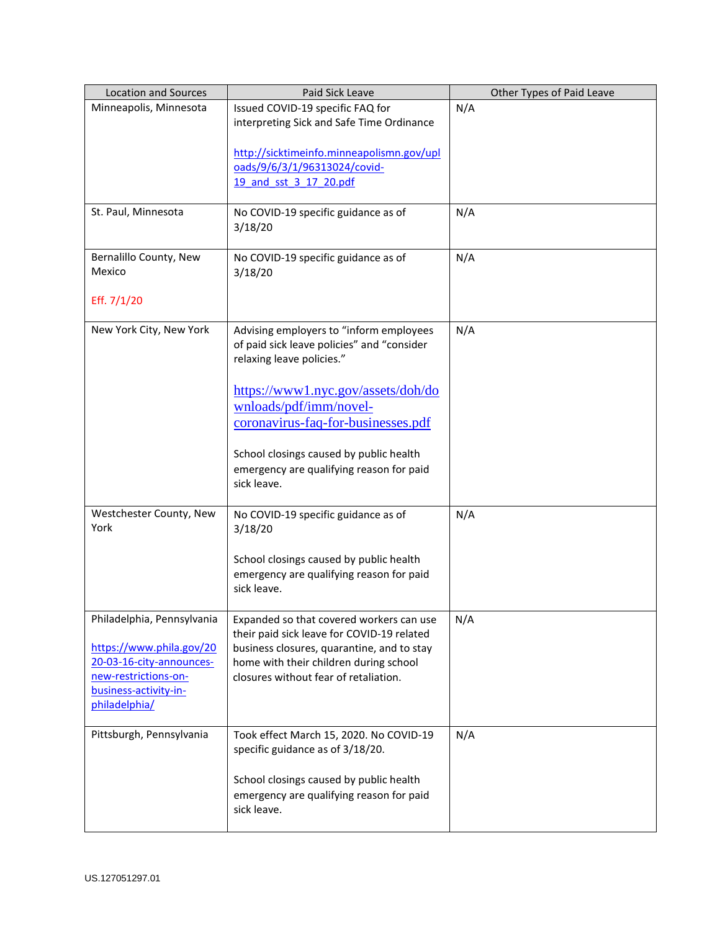| <b>Location and Sources</b> | Paid Sick Leave                                                                        | Other Types of Paid Leave |
|-----------------------------|----------------------------------------------------------------------------------------|---------------------------|
| Minneapolis, Minnesota      | Issued COVID-19 specific FAQ for                                                       | N/A                       |
|                             | interpreting Sick and Safe Time Ordinance                                              |                           |
|                             |                                                                                        |                           |
|                             | http://sicktimeinfo.minneapolismn.gov/upl                                              |                           |
|                             | oads/9/6/3/1/96313024/covid-                                                           |                           |
|                             | 19 and sst 3 17 20.pdf                                                                 |                           |
|                             |                                                                                        |                           |
| St. Paul, Minnesota         | No COVID-19 specific guidance as of                                                    | N/A                       |
|                             | 3/18/20                                                                                |                           |
|                             |                                                                                        |                           |
| Bernalillo County, New      | No COVID-19 specific guidance as of                                                    | N/A                       |
| Mexico                      | 3/18/20                                                                                |                           |
|                             |                                                                                        |                           |
| Eff. 7/1/20                 |                                                                                        |                           |
|                             |                                                                                        |                           |
| New York City, New York     | Advising employers to "inform employees                                                | N/A                       |
|                             | of paid sick leave policies" and "consider<br>relaxing leave policies."                |                           |
|                             |                                                                                        |                           |
|                             |                                                                                        |                           |
|                             | https://www1.nyc.gov/assets/doh/do                                                     |                           |
|                             | wnloads/pdf/imm/novel-                                                                 |                           |
|                             | coronavirus-faq-for-businesses.pdf                                                     |                           |
|                             |                                                                                        |                           |
|                             | School closings caused by public health                                                |                           |
|                             | emergency are qualifying reason for paid                                               |                           |
|                             | sick leave.                                                                            |                           |
|                             |                                                                                        |                           |
| Westchester County, New     | No COVID-19 specific guidance as of                                                    | N/A                       |
| York                        | 3/18/20                                                                                |                           |
|                             |                                                                                        |                           |
|                             | School closings caused by public health                                                |                           |
|                             | emergency are qualifying reason for paid                                               |                           |
|                             | sick leave.                                                                            |                           |
| Philadelphia, Pennsylvania  |                                                                                        |                           |
|                             | Expanded so that covered workers can use<br>their paid sick leave for COVID-19 related | N/A                       |
| https://www.phila.gov/20    | business closures, quarantine, and to stay                                             |                           |
| 20-03-16-city-announces-    | home with their children during school                                                 |                           |
| new-restrictions-on-        | closures without fear of retaliation.                                                  |                           |
| business-activity-in-       |                                                                                        |                           |
| philadelphia/               |                                                                                        |                           |
|                             |                                                                                        |                           |
| Pittsburgh, Pennsylvania    | Took effect March 15, 2020. No COVID-19                                                | N/A                       |
|                             | specific guidance as of 3/18/20.                                                       |                           |
|                             |                                                                                        |                           |
|                             | School closings caused by public health                                                |                           |
|                             | emergency are qualifying reason for paid                                               |                           |
|                             | sick leave.                                                                            |                           |
|                             |                                                                                        |                           |